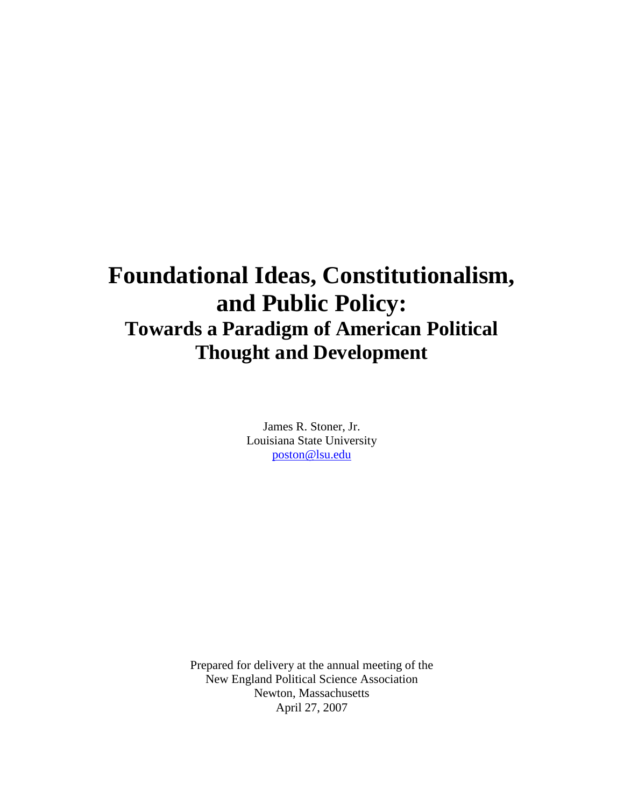# **Foundational Ideas, Constitutionalism, and Public Policy: Towards a Paradigm of American Political Thought and Development**

James R. Stoner, Jr. Louisiana State University poston@lsu.edu

Prepared for delivery at the annual meeting of the New England Political Science Association Newton, Massachusetts April 27, 2007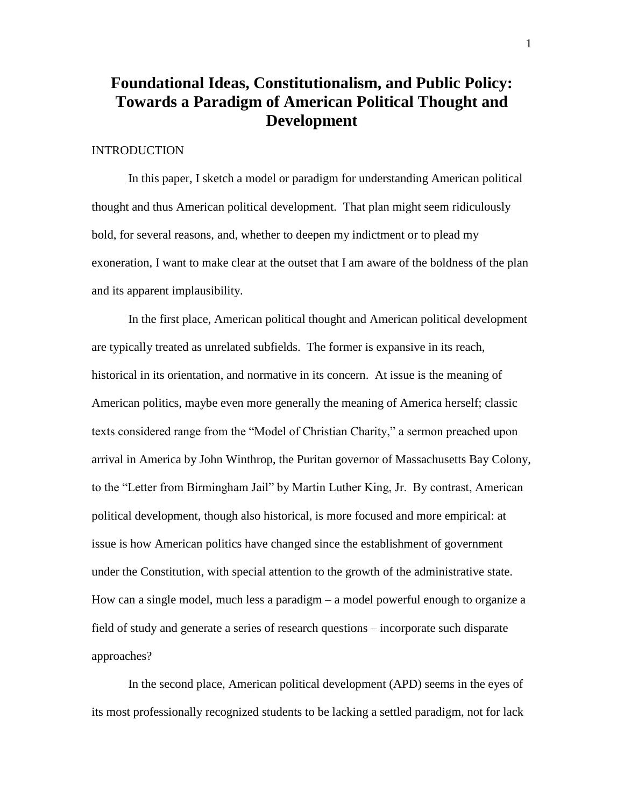## **Foundational Ideas, Constitutionalism, and Public Policy: Towards a Paradigm of American Political Thought and Development**

#### **INTRODUCTION**

In this paper, I sketch a model or paradigm for understanding American political thought and thus American political development. That plan might seem ridiculously bold, for several reasons, and, whether to deepen my indictment or to plead my exoneration, I want to make clear at the outset that I am aware of the boldness of the plan and its apparent implausibility.

In the first place, American political thought and American political development are typically treated as unrelated subfields. The former is expansive in its reach, historical in its orientation, and normative in its concern. At issue is the meaning of American politics, maybe even more generally the meaning of America herself; classic texts considered range from the "Model of Christian Charity," a sermon preached upon arrival in America by John Winthrop, the Puritan governor of Massachusetts Bay Colony, to the "Letter from Birmingham Jail" by Martin Luther King, Jr. By contrast, American political development, though also historical, is more focused and more empirical: at issue is how American politics have changed since the establishment of government under the Constitution, with special attention to the growth of the administrative state. How can a single model, much less a paradigm  $-$  a model powerful enough to organize a field of study and generate a series of research questions – incorporate such disparate approaches?

In the second place, American political development (APD) seems in the eyes of its most professionally recognized students to be lacking a settled paradigm, not for lack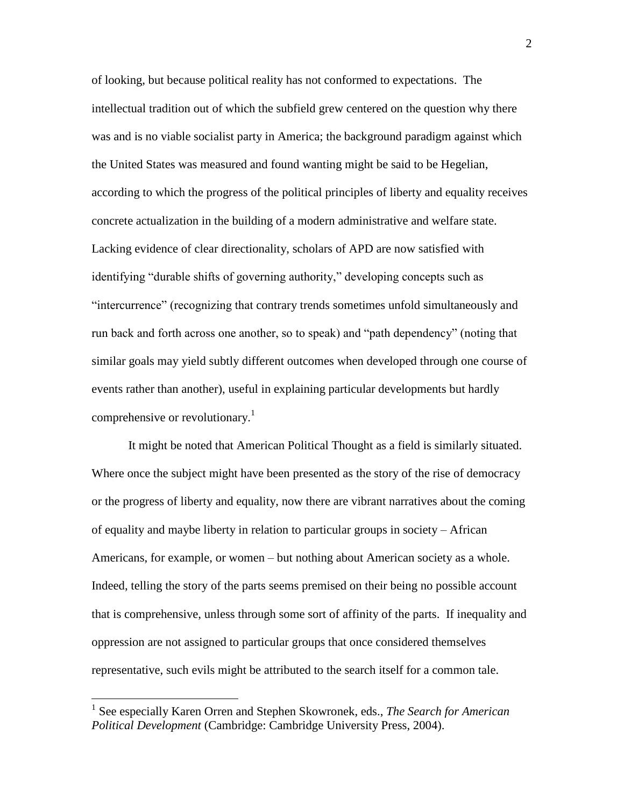of looking, but because political reality has not conformed to expectations. The intellectual tradition out of which the subfield grew centered on the question why there was and is no viable socialist party in America; the background paradigm against which the United States was measured and found wanting might be said to be Hegelian, according to which the progress of the political principles of liberty and equality receives concrete actualization in the building of a modern administrative and welfare state. Lacking evidence of clear directionality, scholars of APD are now satisfied with identifying "durable shifts of governing authority," developing concepts such as "intercurrence" (recognizing that contrary trends sometimes unfold simultaneously and run back and forth across one another, so to speak) and "path dependency" (noting that similar goals may yield subtly different outcomes when developed through one course of events rather than another), useful in explaining particular developments but hardly comprehensive or revolutionary.<sup>1</sup>

It might be noted that American Political Thought as a field is similarly situated. Where once the subject might have been presented as the story of the rise of democracy or the progress of liberty and equality, now there are vibrant narratives about the coming of equality and maybe liberty in relation to particular groups in society –African Americans, for example, or women – but nothing about American society as a whole. Indeed, telling the story of the parts seems premised on their being no possible account that is comprehensive, unless through some sort of affinity of the parts. If inequality and oppression are not assigned to particular groups that once considered themselves representative, such evils might be attributed to the search itself for a common tale.

<sup>1</sup> See especially Karen Orren and Stephen Skowronek, eds., *The Search for American Political Development* (Cambridge: Cambridge University Press, 2004).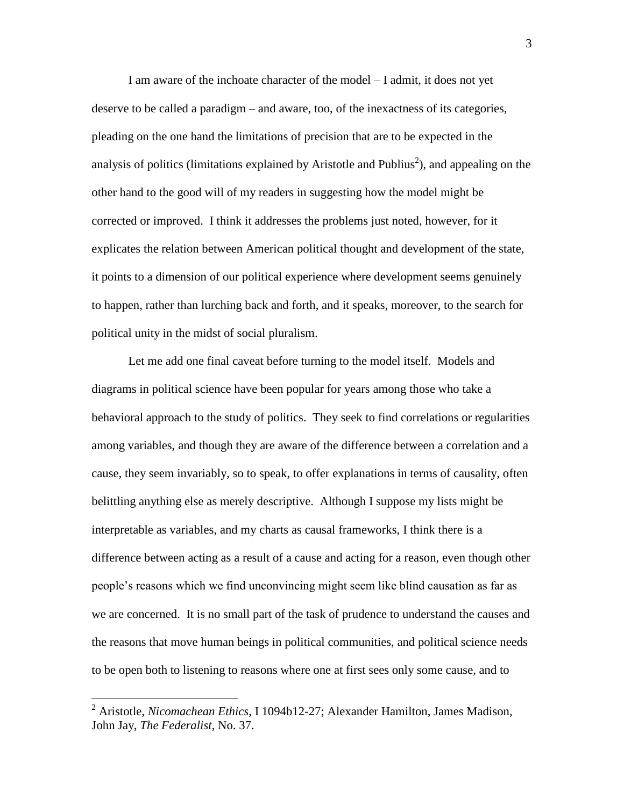I am aware of the inchoate character of the model –I admit, it does not yet deserve to be called a paradigm – and aware, too, of the inexactness of its categories, pleading on the one hand the limitations of precision that are to be expected in the analysis of politics (limitations explained by Aristotle and Publius<sup>2</sup>), and appealing on the other hand to the good will of my readers in suggesting how the model might be corrected or improved. I think it addresses the problems just noted, however, for it explicates the relation between American political thought and development of the state, it points to a dimension of our political experience where development seems genuinely to happen, rather than lurching back and forth, and it speaks, moreover, to the search for political unity in the midst of social pluralism.

Let me add one final caveat before turning to the model itself. Models and diagrams in political science have been popular for years among those who take a behavioral approach to the study of politics. They seek to find correlations or regularities among variables, and though they are aware of the difference between a correlation and a cause, they seem invariably, so to speak, to offer explanations in terms of causality, often belittling anything else as merely descriptive. Although I suppose my lists might be interpretable as variables, and my charts as causal frameworks, I think there is a difference between acting as a result of a cause and acting for a reason, even though other people's reasons which we find unconvincing might seem like blind causation as far as we are concerned. It is no small part of the task of prudence to understand the causes and the reasons that move human beings in political communities, and political science needs to be open both to listening to reasons where one at first sees only some cause, and to

<sup>2</sup> Aristotle, *Nicomachean Ethics*, I 1094b12-27; Alexander Hamilton, James Madison, John Jay, *The Federalist*, No. 37.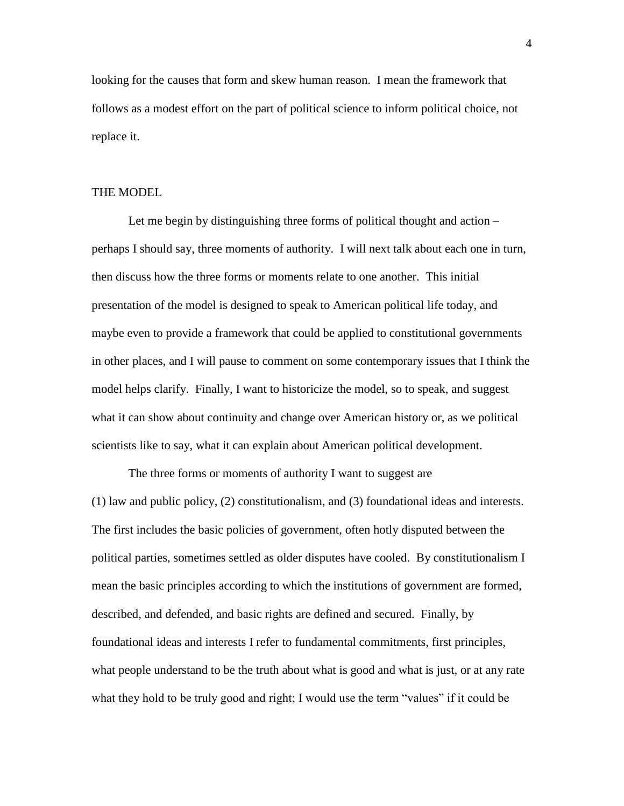looking for the causes that form and skew human reason. I mean the framework that follows as a modest effort on the part of political science to inform political choice, not replace it.

#### THE MODEL

Let me begin by distinguishing three forms of political thought and action – perhaps I should say, three moments of authority. I will next talk about each one in turn, then discuss how the three forms or moments relate to one another. This initial presentation of the model is designed to speak to American political life today, and maybe even to provide a framework that could be applied to constitutional governments in other places, and I will pause to comment on some contemporary issues that I think the model helps clarify. Finally, I want to historicize the model, so to speak, and suggest what it can show about continuity and change over American history or, as we political scientists like to say, what it can explain about American political development.

The three forms or moments of authority I want to suggest are (1) law and public policy, (2) constitutionalism, and (3) foundational ideas and interests. The first includes the basic policies of government, often hotly disputed between the political parties, sometimes settled as older disputes have cooled. By constitutionalism I mean the basic principles according to which the institutions of government are formed, described, and defended, and basic rights are defined and secured. Finally, by foundational ideas and interests I refer to fundamental commitments, first principles, what people understand to be the truth about what is good and what is just, or at any rate what they hold to be truly good and right; I would use the term "values" if it could be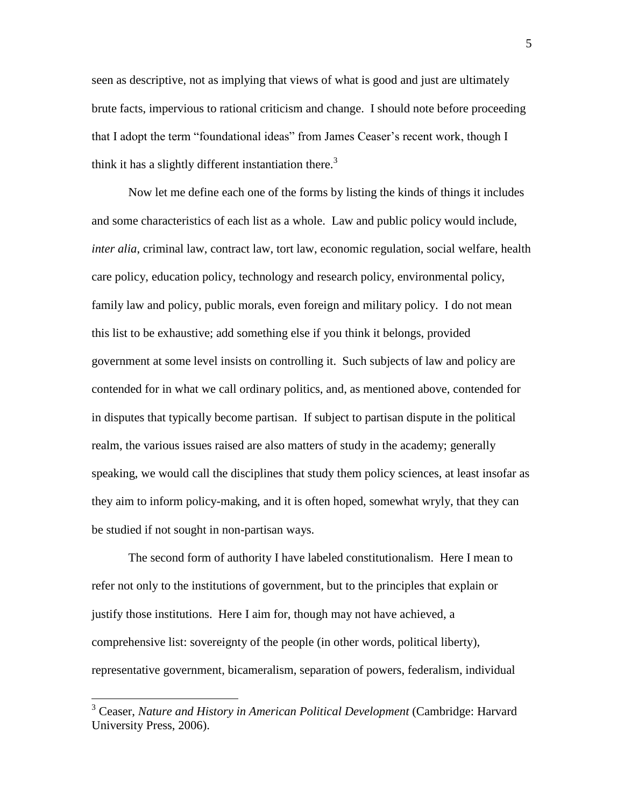seen as descriptive, not as implying that views of what is good and just are ultimately brute facts, impervious to rational criticism and change. I should note before proceeding that I adopt the term "foundational ideas" from James Ceaser's recent work, though I think it has a slightly different instantiation there.<sup>3</sup>

Now let me define each one of the forms by listing the kinds of things it includes and some characteristics of each list as a whole. Law and public policy would include, *inter alia*, criminal law, contract law, tort law, economic regulation, social welfare, health care policy, education policy, technology and research policy, environmental policy, family law and policy, public morals, even foreign and military policy. I do not mean this list to be exhaustive; add something else if you think it belongs, provided government at some level insists on controlling it. Such subjects of law and policy are contended for in what we call ordinary politics, and, as mentioned above, contended for in disputes that typically become partisan. If subject to partisan dispute in the political realm, the various issues raised are also matters of study in the academy; generally speaking, we would call the disciplines that study them policy sciences, at least insofar as they aim to inform policy-making, and it is often hoped, somewhat wryly, that they can be studied if not sought in non-partisan ways.

The second form of authority I have labeled constitutionalism. Here I mean to refer not only to the institutions of government, but to the principles that explain or justify those institutions. Here I aim for, though may not have achieved, a comprehensive list: sovereignty of the people (in other words, political liberty), representative government, bicameralism, separation of powers, federalism, individual

<sup>3</sup> Ceaser, *Nature and History in American Political Development* (Cambridge: Harvard University Press, 2006).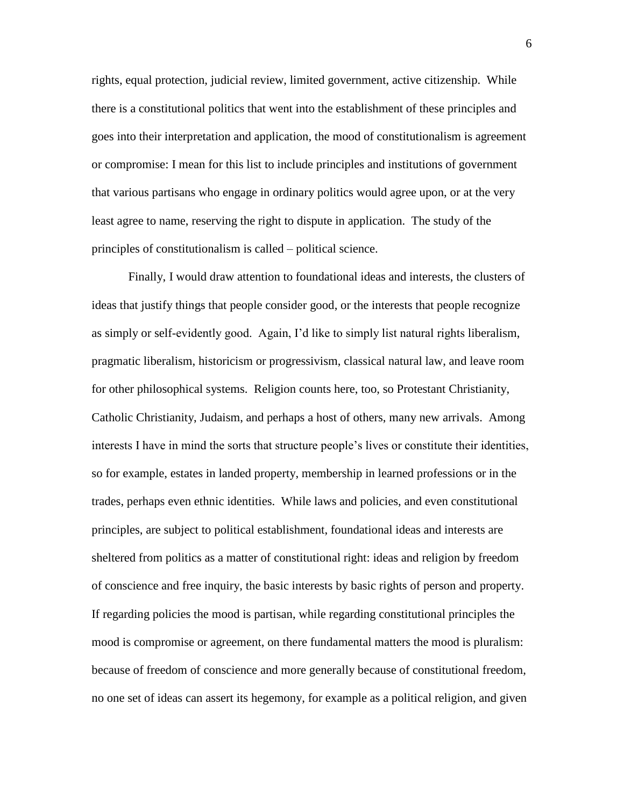rights, equal protection, judicial review, limited government, active citizenship. While there is a constitutional politics that went into the establishment of these principles and goes into their interpretation and application, the mood of constitutionalism is agreement or compromise: I mean for this list to include principles and institutions of government that various partisans who engage in ordinary politics would agree upon, or at the very least agree to name, reserving the right to dispute in application. The study of the principles of constitutionalism is called – political science.

Finally, I would draw attention to foundational ideas and interests, the clusters of ideas that justify things that people consider good, or the interests that people recognize as simply or self-evidently good. Again, I'd like to simply list natural rights liberalism, pragmatic liberalism, historicism or progressivism, classical natural law, and leave room for other philosophical systems. Religion counts here, too, so Protestant Christianity, Catholic Christianity, Judaism, and perhaps a host of others, many new arrivals. Among interests I have in mind the sorts that structure people's lives or constitute their identities, so for example, estates in landed property, membership in learned professions or in the trades, perhaps even ethnic identities. While laws and policies, and even constitutional principles, are subject to political establishment, foundational ideas and interests are sheltered from politics as a matter of constitutional right: ideas and religion by freedom of conscience and free inquiry, the basic interests by basic rights of person and property. If regarding policies the mood is partisan, while regarding constitutional principles the mood is compromise or agreement, on there fundamental matters the mood is pluralism: because of freedom of conscience and more generally because of constitutional freedom, no one set of ideas can assert its hegemony, for example as a political religion, and given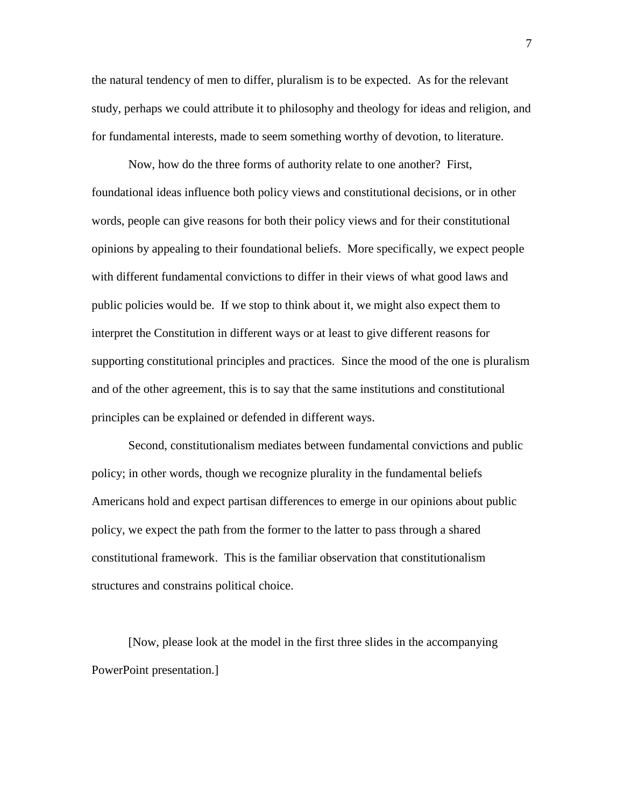the natural tendency of men to differ, pluralism is to be expected. As for the relevant study, perhaps we could attribute it to philosophy and theology for ideas and religion, and for fundamental interests, made to seem something worthy of devotion, to literature.

Now, how do the three forms of authority relate to one another? First, foundational ideas influence both policy views and constitutional decisions, or in other words, people can give reasons for both their policy views and for their constitutional opinions by appealing to their foundational beliefs. More specifically, we expect people with different fundamental convictions to differ in their views of what good laws and public policies would be. If we stop to think about it, we might also expect them to interpret the Constitution in different ways or at least to give different reasons for supporting constitutional principles and practices. Since the mood of the one is pluralism and of the other agreement, this is to say that the same institutions and constitutional principles can be explained or defended in different ways.

Second, constitutionalism mediates between fundamental convictions and public policy; in other words, though we recognize plurality in the fundamental beliefs Americans hold and expect partisan differences to emerge in our opinions about public policy, we expect the path from the former to the latter to pass through a shared constitutional framework. This is the familiar observation that constitutionalism structures and constrains political choice.

[Now, please look at the model in the first three slides in the accompanying PowerPoint presentation.]

7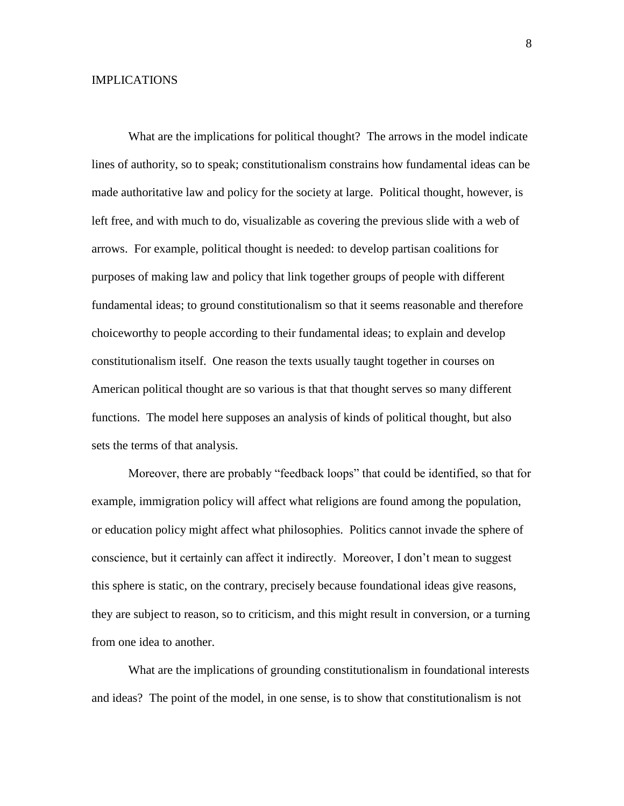#### IMPLICATIONS

What are the implications for political thought? The arrows in the model indicate lines of authority, so to speak; constitutionalism constrains how fundamental ideas can be made authoritative law and policy for the society at large. Political thought, however, is left free, and with much to do, visualizable as covering the previous slide with a web of arrows. For example, political thought is needed: to develop partisan coalitions for purposes of making law and policy that link together groups of people with different fundamental ideas; to ground constitutionalism so that it seems reasonable and therefore choiceworthy to people according to their fundamental ideas; to explain and develop constitutionalism itself. One reason the texts usually taught together in courses on American political thought are so various is that that thought serves so many different functions. The model here supposes an analysis of kinds of political thought, but also sets the terms of that analysis.

Moreover, there are probably "feedback loops" that could be identified, so that for example, immigration policy will affect what religions are found among the population, or education policy might affect what philosophies. Politics cannot invade the sphere of conscience, but it certainly can affect it indirectly. Moreover, I don't mean to suggest this sphere is static, on the contrary, precisely because foundational ideas give reasons, they are subject to reason, so to criticism, and this might result in conversion, or a turning from one idea to another.

What are the implications of grounding constitutionalism in foundational interests and ideas? The point of the model, in one sense, is to show that constitutionalism is not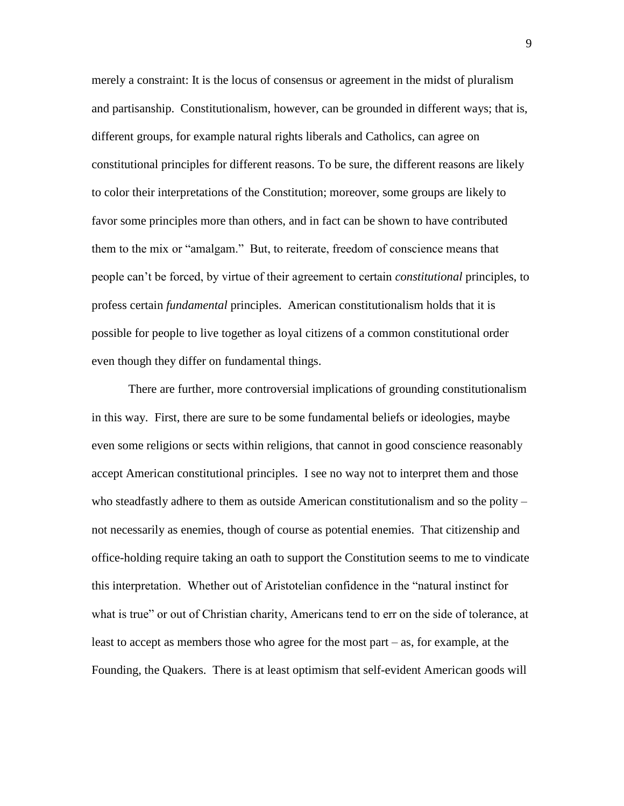merely a constraint: It is the locus of consensus or agreement in the midst of pluralism and partisanship. Constitutionalism, however, can be grounded in different ways; that is, different groups, for example natural rights liberals and Catholics, can agree on constitutional principles for different reasons. To be sure, the different reasons are likely to color their interpretations of the Constitution; moreover, some groups are likely to favor some principles more than others, and in fact can be shown to have contributed them to the mix or "amalgam." But, to reiterate, freedom of conscience means that peoplecan'tbeforced,byvirtueoftheiragreementtocertain*constitutional* principles, to profess certain *fundamental* principles. American constitutionalism holds that it is possible for people to live together as loyal citizens of a common constitutional order even though they differ on fundamental things.

There are further, more controversial implications of grounding constitutionalism in this way. First, there are sure to be some fundamental beliefs or ideologies, maybe even some religions or sects within religions, that cannot in good conscience reasonably accept American constitutional principles. I see no way not to interpret them and those who steadfastly adhere to them as outside American constitutionalism and so the polity – not necessarily as enemies, though of course as potential enemies. That citizenship and office-holding require taking an oath to support the Constitution seems to me to vindicate this interpretation. Whether out of Aristotelian confidence in the "natural instinct for what is true" or out of Christian charity, Americans tend to err on the side of tolerance, at least to accept as members those who agree for the most part  $-$  as, for example, at the Founding, the Quakers. There is at least optimism that self-evident American goods will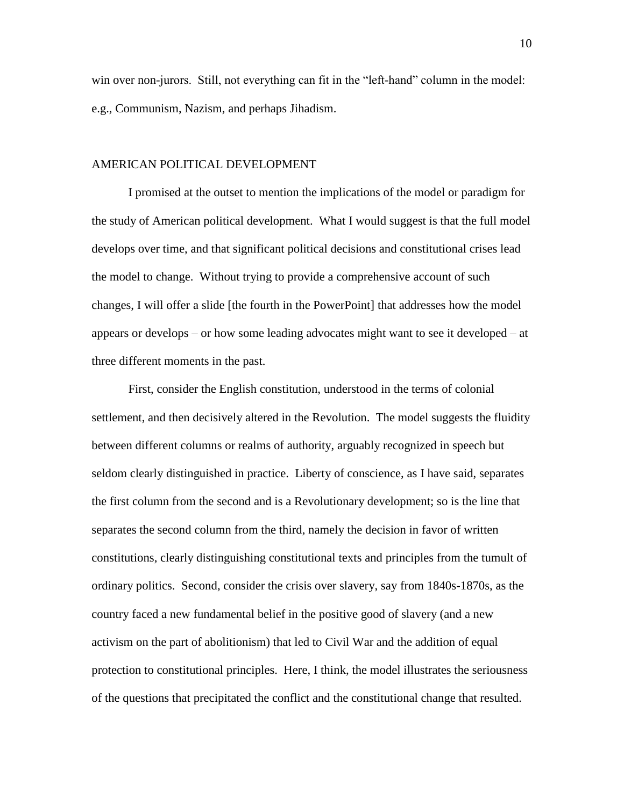win over non-jurors. Still, not everything can fit in the "left-hand" column in the model: e.g., Communism, Nazism, and perhaps Jihadism.

#### AMERICAN POLITICAL DEVELOPMENT

I promised at the outset to mention the implications of the model or paradigm for the study of American political development. What I would suggest is that the full model develops over time, and that significant political decisions and constitutional crises lead the model to change. Without trying to provide a comprehensive account of such changes, I will offer a slide [the fourth in the PowerPoint] that addresses how the model appears or develops –or how some leading advocates might want to see it developed –at three different moments in the past.

First, consider the English constitution, understood in the terms of colonial settlement, and then decisively altered in the Revolution. The model suggests the fluidity between different columns or realms of authority, arguably recognized in speech but seldom clearly distinguished in practice. Liberty of conscience, as I have said, separates the first column from the second and is a Revolutionary development; so is the line that separates the second column from the third, namely the decision in favor of written constitutions, clearly distinguishing constitutional texts and principles from the tumult of ordinary politics. Second, consider the crisis over slavery, say from 1840s-1870s, as the country faced a new fundamental belief in the positive good of slavery (and a new activism on the part of abolitionism) that led to Civil War and the addition of equal protection to constitutional principles. Here, I think, the model illustrates the seriousness of the questions that precipitated the conflict and the constitutional change that resulted.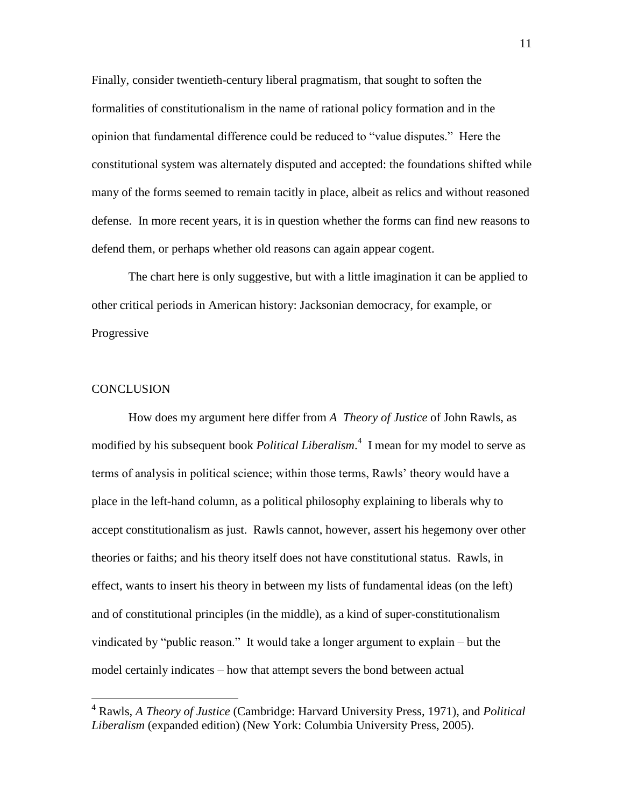Finally, consider twentieth-century liberal pragmatism, that sought to soften the formalities of constitutionalism in the name of rational policy formation and in the opinion that fundamental difference could be reduced to "value disputes." Here the constitutional system was alternately disputed and accepted: the foundations shifted while many of the forms seemed to remain tacitly in place, albeit as relics and without reasoned defense. In more recent years, it is in question whether the forms can find new reasons to defend them, or perhaps whether old reasons can again appear cogent.

The chart here is only suggestive, but with a little imagination it can be applied to other critical periods in American history: Jacksonian democracy, for example, or Progressive

### **CONCLUSION**

How does my argument here differ from *A Theory of Justice* of John Rawls, as modified by his subsequent book *Political Liberalism*. 4 I mean for my model to serve as terms of analysis in political science; within those terms, Rawls' theory would have a place in the left-hand column, as a political philosophy explaining to liberals why to accept constitutionalism as just. Rawls cannot, however, assert his hegemony over other theories or faiths; and his theory itself does not have constitutional status. Rawls, in effect, wants to insert his theory in between my lists of fundamental ideas (on the left) and of constitutional principles (in the middle), as a kind of super-constitutionalism vindicated by "public reason." It would take a longer argument to explain – but the model certainly indicates – how that attempt severs the bond between actual

<sup>4</sup> Rawls, *A Theory of Justice* (Cambridge: Harvard University Press, 1971), and *Political Liberalism* (expanded edition) (New York: Columbia University Press, 2005).